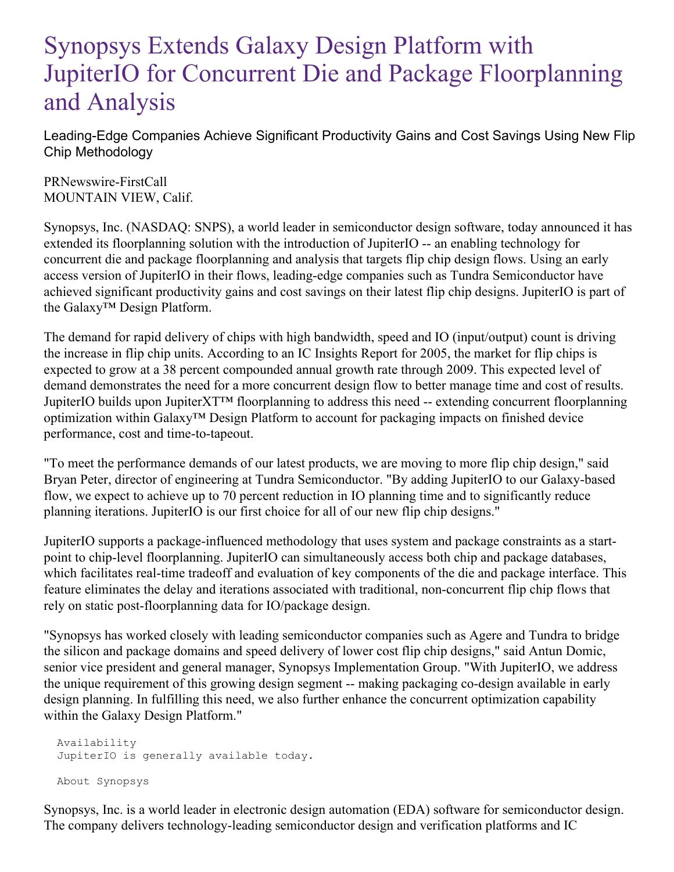## Synopsys Extends Galaxy Design Platform with JupiterIO for Concurrent Die and Package Floorplanning and Analysis

Leading-Edge Companies Achieve Significant Productivity Gains and Cost Savings Using New Flip Chip Methodology

PRNewswire-FirstCall MOUNTAIN VIEW, Calif.

Synopsys, Inc. (NASDAQ: SNPS), a world leader in semiconductor design software, today announced it has extended its floorplanning solution with the introduction of JupiterIO -- an enabling technology for concurrent die and package floorplanning and analysis that targets flip chip design flows. Using an early access version of JupiterIO in their flows, leading-edge companies such as Tundra Semiconductor have achieved significant productivity gains and cost savings on their latest flip chip designs. JupiterIO is part of the Galaxy™ Design Platform.

The demand for rapid delivery of chips with high bandwidth, speed and IO (input/output) count is driving the increase in flip chip units. According to an IC Insights Report for 2005, the market for flip chips is expected to grow at a 38 percent compounded annual growth rate through 2009. This expected level of demand demonstrates the need for a more concurrent design flow to better manage time and cost of results. JupiterIO builds upon JupiterXT™ floorplanning to address this need -- extending concurrent floorplanning optimization within Galaxy™ Design Platform to account for packaging impacts on finished device performance, cost and time-to-tapeout.

"To meet the performance demands of our latest products, we are moving to more flip chip design," said Bryan Peter, director of engineering at Tundra Semiconductor. "By adding JupiterIO to our Galaxy-based flow, we expect to achieve up to 70 percent reduction in IO planning time and to significantly reduce planning iterations. JupiterIO is our first choice for all of our new flip chip designs."

JupiterIO supports a package-influenced methodology that uses system and package constraints as a startpoint to chip-level floorplanning. JupiterIO can simultaneously access both chip and package databases, which facilitates real-time tradeoff and evaluation of key components of the die and package interface. This feature eliminates the delay and iterations associated with traditional, non-concurrent flip chip flows that rely on static post-floorplanning data for IO/package design.

"Synopsys has worked closely with leading semiconductor companies such as Agere and Tundra to bridge the silicon and package domains and speed delivery of lower cost flip chip designs," said Antun Domic, senior vice president and general manager, Synopsys Implementation Group. "With JupiterIO, we address the unique requirement of this growing design segment -- making packaging co-design available in early design planning. In fulfilling this need, we also further enhance the concurrent optimization capability within the Galaxy Design Platform."

Availability JupiterIO is generally available today. About Synopsys

Synopsys, Inc. is a world leader in electronic design automation (EDA) software for semiconductor design. The company delivers technology-leading semiconductor design and verification platforms and IC